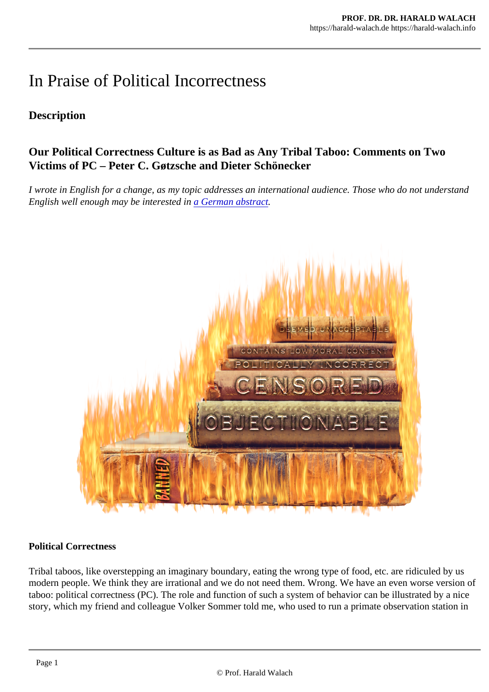# In Praise of Political Incorrectness

# **Description**

Our Political Correctness Culture is as Bad as Any Tribal Taboo: Comments on Two Victims of PC – Peter C. Gøtzsche and Dieter Schönecker

I wrote in English for a change, as my topic addresses an international audience. Those who do not under English well enough may be interested in **German** abstract

#### Political Correctness

Tribal taboos, like overstepping an imaginary boundary, eating the wrong type of food, etc. are ridiculed by modern people. We think they are irrational and we do not need them. Wrong. We have an even worse version of taboo: political correctness (PC). The role and function of such a system of behavior can be illustrated by story, which my friend and colleague Volker Sommer told me, who used to run a primate observation station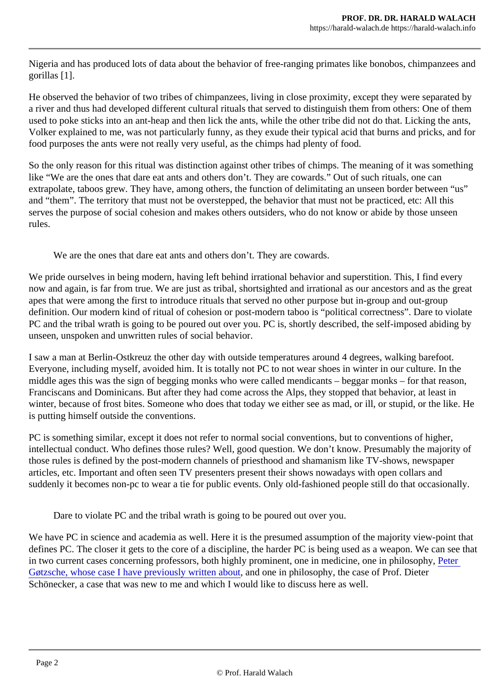Nigeria and has produced lots of data about the behavior of free-ranging primates like bonobos, chimpanz gorillas [1].

He observed the behavior of two tribes of chimpanzees, living in close proximity, except they were separa a river and thus had developed different cultural rituals that served to distinguish them from others: One of used to poke sticks into an ant-heap and then lick the ants, while the other tribe did not do that. Licking the Volker explained to me, was not particularly funny, as they exude their typical acid that burns and pricks, and food purposes the ants were not really very useful, as the chimps had plenty of food.

So the only reason for this ritual was distinction against other tribes of chimps. The meaning of it was some like "We are the ones that dare eat ants and others don't. They are cowards." Out of such rituals, one can extrapolate, taboos grew. They have, among others, the function of delimitating an unseen border betwee and "them". The territory that must not be overstepped, the behavior that must not be practiced, etc: All thi serves the purpose of social cohesion and makes others outsiders, who do not know or abide by those un rules.

We are the ones that dare eat ants and others don't. They are cowards.

We pride ourselves in being modern, having left behind irrational behavior and superstition. This, I find every now and again, is far from true. We are just as tribal, shortsighted and irrational as our ancestors and as the apes that were among the first to introduce rituals that served no other purpose but in-group and out-group definition. Our modern kind of ritual of cohesion or post-modern taboo is "political correctness". Dare to vio PC and the tribal wrath is going to be poured out over you. PC is, shortly described, the self-imposed abid unseen, unspoken and unwritten rules of social behavior.

I saw a man at Berlin-Ostkreuz the other day with outside temperatures around 4 degrees, walking barefo Everyone, including myself, avoided him. It is totally not PC to not wear shoes in winter in our culture. In th middle ages this was the sign of begging monks who were called mendicants - beggar monks - for that re Franciscans and Dominicans. But after they had come across the Alps, they stopped that behavior, at least winter, because of frost bites. Someone who does that today we either see as mad, or ill, or stupid, or the is putting himself outside the conventions.

PC is something similar, except it does not refer to normal social conventions, but to conventions of higher intellectual conduct. Who defines those rules? Well, good question. We don't know. Presumably the major those rules is defined by the post-modern channels of priesthood and shamanism like TV-shows, newspa articles, etc. Important and often seen TV presenters present their shows nowadays with open collars and suddenly it becomes non-pc to wear a tie for public events. Only old-fashioned people still do that occasio

Dare to violate PC and the tribal wrath is going to be poured out over you.

We have PC in science and academia as well. Here it is the presumed assumption of the majority view-point defines PC. The closer it gets to the core of a discipline, the harder PC is being used as a weapon. We ca in two current cases concerning professors, both highly prominent, one in medicine, one in philostephy, [Gøtzsche, whose case I have previously written a](https://harald-walach.de/2018/11/16/petition-fuer-peter-gtzsche-seine-reputation-und-stelle-in-gefahr-bitte-unterschreiben-sie-die-petition/)bout one in philosophy, the case of Prof. Dieter Schönecker, a case that was new to me and which I would like to discuss here as well.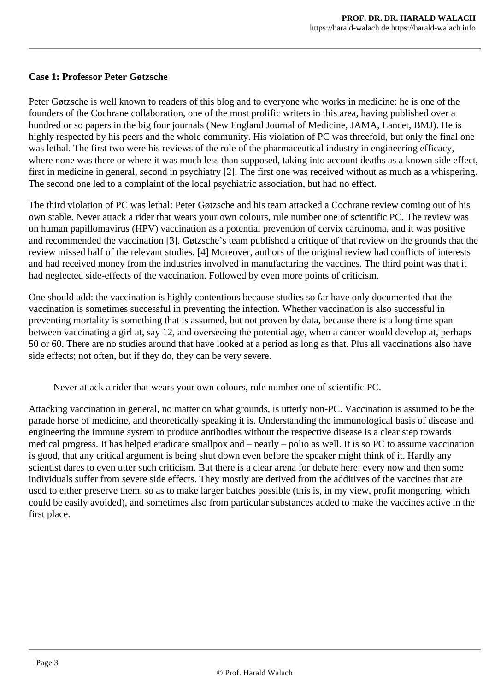#### **Case 1: Professor Peter Gøtzsche**

Peter Gøtzsche is well known to readers of this blog and to everyone who works in medicine: he is one of the founders of the Cochrane collaboration, one of the most prolific writers in this area, having published over a hundred or so papers in the big four journals (New England Journal of Medicine, JAMA, Lancet, BMJ). He is highly respected by his peers and the whole community. His violation of PC was threefold, but only the final one was lethal. The first two were his reviews of the role of the pharmaceutical industry in engineering efficacy, where none was there or where it was much less than supposed, taking into account deaths as a known side effect, first in medicine in general, second in psychiatry [2]. The first one was received without as much as a whispering. The second one led to a complaint of the local psychiatric association, but had no effect.

The third violation of PC was lethal: Peter Gøtzsche and his team attacked a Cochrane review coming out of his own stable. Never attack a rider that wears your own colours, rule number one of scientific PC. The review was on human papillomavirus (HPV) vaccination as a potential prevention of cervix carcinoma, and it was positive and recommended the vaccination [3]. Gøtzsche's team published a critique of that review on the grounds that the review missed half of the relevant studies. [4] Moreover, authors of the original review had conflicts of interests and had received money from the industries involved in manufacturing the vaccines. The third point was that it had neglected side-effects of the vaccination. Followed by even more points of criticism.

One should add: the vaccination is highly contentious because studies so far have only documented that the vaccination is sometimes successful in preventing the infection. Whether vaccination is also successful in preventing mortality is something that is assumed, but not proven by data, because there is a long time span between vaccinating a girl at, say 12, and overseeing the potential age, when a cancer would develop at, perhaps 50 or 60. There are no studies around that have looked at a period as long as that. Plus all vaccinations also have side effects; not often, but if they do, they can be very severe.

Never attack a rider that wears your own colours, rule number one of scientific PC.

Attacking vaccination in general, no matter on what grounds, is utterly non-PC. Vaccination is assumed to be the parade horse of medicine, and theoretically speaking it is. Understanding the immunological basis of disease and engineering the immune system to produce antibodies without the respective disease is a clear step towards medical progress. It has helped eradicate smallpox and – nearly – polio as well. It is so PC to assume vaccination is good, that any critical argument is being shut down even before the speaker might think of it. Hardly any scientist dares to even utter such criticism. But there is a clear arena for debate here: every now and then some individuals suffer from severe side effects. They mostly are derived from the additives of the vaccines that are used to either preserve them, so as to make larger batches possible (this is, in my view, profit mongering, which could be easily avoided), and sometimes also from particular substances added to make the vaccines active in the first place.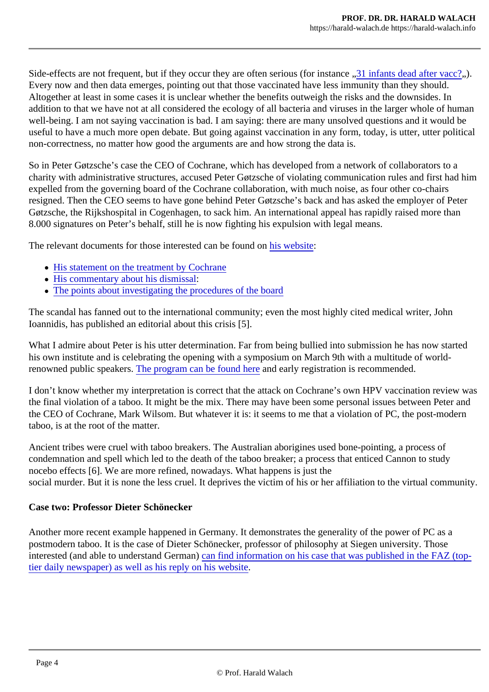Side-effects are not frequent, but if they occur they are often serious (for instaniotents dead after vact? Every now and then data emerges, pointing out that those vaccinated have less immunity than they should Altogether at least in some cases it is unclear whether the benefits outweigh the risks and the downsides. addition to that we have not at all considered the ecology of all bacteria and viruses in the larger whole of well-being. I am not saying vaccination is bad. I am saying: there are many unsolved questions and it wou useful to have a much more open debate. But going against vaccination in any form, today, is utter, utter poli non-correctness, no matter how good the arguments are and how strong the data is.

So in Peter Gøtzsche's case the CEO of Cochrane, which has developed from a network of collaborators charity with administrative structures, accused Peter Gøtzsche of violating communication rules and first had expelled from the governing board of the Cochrane collaboration, with much noise, as four other co-chairs resigned. Then the CEO seems to have gone behind Peter Gøtzsche's back and has asked the employer Gøtzsche, the Rijkshospital in Cogenhagen, to sack him. An international appeal has rapidly raised more than 8.000 signatures on Peter's behalf, still he is now fighting his expulsion with legal means.

The relevant documents for those interested can be founis arebsite

- [His statement on the treatment by Coch](http://www.deadlymedicines.dk/1006-2/)rane
- [His commentary about his dismis](http://www.deadlymedicines.dk/wp-content/uploads/2018/12/Gøtzsche-Scientific-judicial-murder-at-Rigshospitalet.pdf)sal
- [The points about investigating the procedures of the b](http://www.deadlymedicines.dk/wp-content/uploads/2018/12/Questions-for-an-independent-assessment-of-the-Board-process-against-Gøtzsche.pdf)oard

The scandal has fanned out to the international community; even the most highly cited medical writer, Joh Ioannidis, has published an editorial about this crisis [5].

What I admire about Peter is his utter determination. Far from being bullied into submission he has now started his own institute and is celebrating the opening with a symposium on March 9th with a multitude of worldrenownedpublic speakershe program can be found hered early registration is recommended.

I don't know whether my interpretation is correct that the attack on Cochrane's own HPV vaccination revie the final violation of a taboo. It might be the mix. There may have been some personal issues between Pe the CEO of Cochrane, Mark Wilsom. But whatever it is: it seems to me that a violation of PC, the post-modern taboo, is at the root of the matter.

Ancient tribes were cruel with taboo breakers. The Australian aborigines used bone-pointing, a process of condemnation and spell which led to the death of the taboo breaker; a process that enticed Cannon to stu nocebo effects [6]. We are more refined, nowadays. What happens is just the social murder. But it is none the less cruel. It deprives the victim of his or her affiliation to the virtual comm

#### Case two: Professor Dieter Schönecker

Another more recent example happened in Germany. It demonstrates the generality of the power of PC as postmodern taboo. It is the case of Dieter Schönecker, professor of philosophy at Siegen university. Those interested (and able to understand German) find information on his case that was published in the FAZ (to [tier daily newspaper\) as well as his reply on his we](https://www.uni-siegen.de/phil/philosophie/mitarbeiter/schoenecker/index.html?lang=de)bsite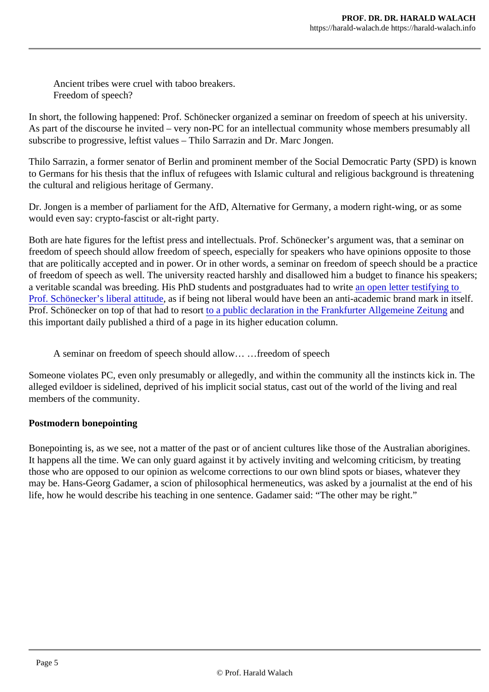Ancient tribes were cruel with taboo breakers. Freedom of speech?

In short, the following happened: Prof. Schönecker organized a seminar on freedom of speech at his univer As part of the discourse he invited – very non-PC for an intellectual community whose members presumal subscribe to progressive, leftist values – Thilo Sarrazin and Dr. Marc Jongen.

Thilo Sarrazin, a former senator of Berlin and prominent member of the Social Democratic Party (SPD) is to Germans for his thesis that the influx of refugees with Islamic cultural and religious background is threat the cultural and religious heritage of Germany.

Dr. Jongen is a member of parliament for the AfD, Alternative for Germany, a modern right-wing, or as sore would even say: crypto-fascist or alt-right party.

Both are hate figures for the leftist press and intellectuals. Prof. Schönecker's argument was, that a semin freedom of speech should allow freedom of speech, especially for speakers who have opinions opposite to that are politically accepted and in power. Or in other words, a seminar on freedom of speech should be a of freedom of speech as well. The university reacted harshly and disallowed him a budget to finance his speaker a veritable scandal was breeding. His PhD students and postgraduates had to write letter testifying to [Prof. Schönecker's liberal attitu](http://www.uni-siegen.de/phil/philosophie/aktuelles/stellungnahme_lehrstuhl_praktische_philosophie.pdf)des if being not liberal would have been an anti-academic brand mark in its Prof.Schönecker on top of that had to retort public declaration in the Frankfurter Allgemeine Zeitung this important daily published a third of a page in its higher education column.

A seminar on freedom of speech should allow… …freedom of speech

Someone violates PC, even only presumably or allegedly, and within the community all the instincts kick in. alleged evildoer is sidelined, deprived of his implicit social status, cast out of the world of the living and real members of the community.

Postmodern bonepointing

Bonepointing is, as we see, not a matter of the past or of ancient cultures like those of the Australian abor It happens all the time. We can only guard against it by actively inviting and welcoming criticism, by treatin those who are opposed to our opinion as welcome corrections to our own blind spots or biases, whatever may be. Hans-Georg Gadamer, a scion of philosophical hermeneutics, was asked by a journalist at the en life, how he would describe his teaching in one sentence. Gadamer said: "The other may be right."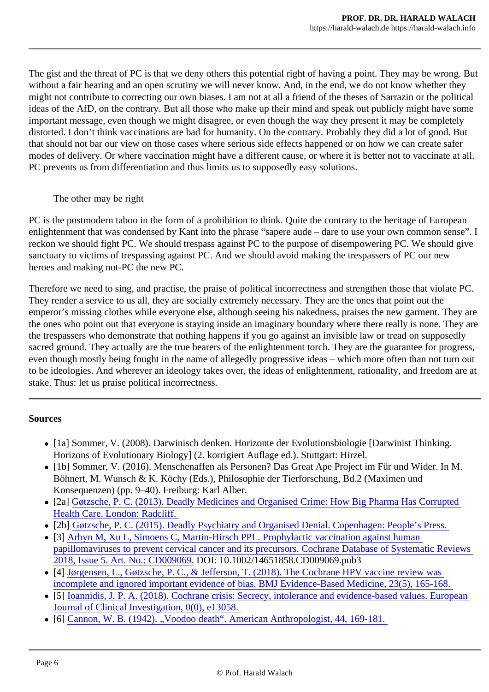The gist and the threat of PC is that we deny others this potential right of having a point. They may be wrong. without a fair hearing and an open scrutiny we will never know. And, in the end, we do not know whether t might not contribute to correcting our own biases. I am not at all a friend of the theses of Sarrazin or the po ideas of the AfD, on the contrary. But all those who make up their mind and speak out publicly might have important message, even though we might disagree, or even though the way they present it may be comp distorted. I don't think vaccinations are bad for humanity. On the contrary. Probably they did a lot of good. that should not bar our view on those cases where serious side effects happened or on how we can create modes of delivery. Or where vaccination might have a different cause, or where it is better not to vaccinate PC prevents us from differentiation and thus limits us to supposedly easy solutions.

## The other may be right

PC is the postmodern taboo in the form of a prohibition to think. Quite the contrary to the heritage of Europ enlightenment that was condensed by Kant into the phrase "sapere aude – dare to use your own common reckon we should fight PC. We should trespass against PC to the purpose of disempowering PC. We sho sanctuary to victims of trespassing against PC. And we should avoid making the trespassers of PC our ne heroes and making not-PC the new PC.

Therefore we need to sing, and practise, the praise of political incorrectness and strengthen those that vio They render a service to us all, they are socially extremely necessary. They are the ones that point out the emperor's missing clothes while everyone else, although seeing his nakedness, praises the new garment. the ones who point out that everyone is staying inside an imaginary boundary where there really is none. the trespassers who demonstrate that nothing happens if you go against an invisible law or tread on supper sacred ground. They actually are the true bearers of the enlightenment torch. They are the guarantee for progress, even though mostly being fought in the name of allegedly progressive ideas – which more often than not t to be ideologies. And wherever an ideology takes over, the ideas of enlightenment, rationality, and freedom stake. Thus: let us praise political incorrectness.

## **Sources**

- [1a] Sommer, V. (2008). Darwinisch denken. Horizonte der Evolutionsbiologie [Darwinist Thinking. Horizons of Evolutionary Biology] (2. korrigiert Auflage ed.). Stuttgart: Hirzel.
- [1b] Sommer, V. (2016). Menschenaffen als Personen? Das Great Ape Project im Für und Wider. In Böhnert, M. Wunsch & K. Köchy (Eds.), Philosophie der Tierforschung, Bd.2 (Maximen und Konsequenzen) (pp. 9–40). Freiburg: Karl Alber.
- [2a] [Gøtzsche, P. C. \(2013\). Deadly Medicines and Organised Crime: How Big Pharma Has C](https://www.m-vg.de/riva/shop/article/3327-toedliche-medizin-und-organisierte-kriminalitaet/)orrupt [Health Care. London: Radclif](https://www.m-vg.de/riva/shop/article/3327-toedliche-medizin-und-organisierte-kriminalitaet/)f.
- [2b] [Gøtzsche, P. C. \(2015\). Deadly Psychiatry and Organised Denial. Copenhagen: People](https://www.m-vg.de/riva/shop/article/6427-toedliche-psychopharmaka-und-organisiertes-leugnen/ )'s Press.
- [3] [Arbyn M, Xu L, Simoens C, Martin-Hirsch PPL. Prophylactic vaccination against hu](https://www.cochranelibrary.com/cdsr/doi/10.1002/14651858.CD009069.pub3/full)man [papillomaviruses to prevent cervical cancer and its precursors. Cochrane Database of Systematic](https://www.cochranelibrary.com/cdsr/doi/10.1002/14651858.CD009069.pub3/full) R [2018, Issue 5. Art. No.: CD00906](https://www.cochranelibrary.com/cdsr/doi/10.1002/14651858.CD009069.pub3/full)9OI: 10.1002/14651858.CD009069.pub3
- [4] [Jørgensen, L., Gøtzsche, P. C., & Jefferson, T. \(2018\). The Cochrane HPV vaccine rev](https://ebm.bmj.com/content/23/5/165.responses#the-cochrane-hpv-vaccine-review-was-incomplete-and-ignored-important-evidence-of-bias-response-to-the-cochrane-editors )iew was [incomplete and ignored important evidence of bias. BMJ Evidence-Based Medicine, 23\(5\), 1](https://ebm.bmj.com/content/23/5/165.responses#the-cochrane-hpv-vaccine-review-was-incomplete-and-ignored-important-evidence-of-bias-response-to-the-cochrane-editors )65-168.
- [5] [Ioannidis, J. P. A. \(2018\). Cochrane crisis: Secrecy, intolerance and evidence-based values.](https://onlinelibrary.wiley.com/doi/full/10.1111/eci.13058) Euro [Journal of Clinical Investigation, 0\(0\), e1305](https://onlinelibrary.wiley.com/doi/full/10.1111/eci.13058)8.
- [6] [Cannon, W. B. \(1942\). "Voodoo death". American Anthropologist, 44, 169-](https://anthrosource.onlinelibrary.wiley.com/doi/abs/10.1525/aa.1942.44.2.02a00010 )181.